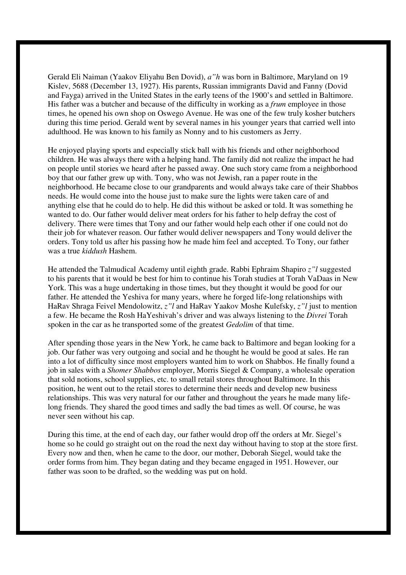Gerald Eli Naiman (Yaakov Eliyahu Ben Dovid), *a"h* was born in Baltimore, Maryland on 19 Kislev, 5688 (December 13, 1927). His parents, Russian immigrants David and Fanny (Dovid and Fayga) arrived in the United States in the early teens of the 1900's and settled in Baltimore. His father was a butcher and because of the difficulty in working as a *frum* employee in those times, he opened his own shop on Oswego Avenue. He was one of the few truly kosher butchers during this time period. Gerald went by several names in his younger years that carried well into adulthood. He was known to his family as Nonny and to his customers as Jerry.

He enjoyed playing sports and especially stick ball with his friends and other neighborhood children. He was always there with a helping hand. The family did not realize the impact he had on people until stories we heard after he passed away. One such story came from a neighborhood boy that our father grew up with. Tony, who was not Jewish, ran a paper route in the neighborhood. He became close to our grandparents and would always take care of their Shabbos needs. He would come into the house just to make sure the lights were taken care of and anything else that he could do to help. He did this without be asked or told. It was something he wanted to do. Our father would deliver meat orders for his father to help defray the cost of delivery. There were times that Tony and our father would help each other if one could not do their job for whatever reason. Our father would deliver newspapers and Tony would deliver the orders. Tony told us after his passing how he made him feel and accepted. To Tony, our father was a true *kiddush* Hashem.

He attended the Talmudical Academy until eighth grade. Rabbi Ephraim Shapiro *z"l* suggested to his parents that it would be best for him to continue his Torah studies at Torah VaDaas in New York. This was a huge undertaking in those times, but they thought it would be good for our father. He attended the Yeshiva for many years, where he forged life-long relationships with HaRav Shraga Feivel Mendolowitz, *z"l* and HaRav Yaakov Moshe Kulefsky, *z"l* just to mention a few. He became the Rosh HaYeshivah's driver and was always listening to the *Divrei* Torah spoken in the car as he transported some of the greatest *Gedolim* of that time.

After spending those years in the New York, he came back to Baltimore and began looking for a job. Our father was very outgoing and social and he thought he would be good at sales. He ran into a lot of difficulty since most employers wanted him to work on Shabbos. He finally found a job in sales with a *Shomer Shabbos* employer, Morris Siegel & Company, a wholesale operation that sold notions, school supplies, etc. to small retail stores throughout Baltimore. In this position, he went out to the retail stores to determine their needs and develop new business relationships. This was very natural for our father and throughout the years he made many lifelong friends. They shared the good times and sadly the bad times as well. Of course, he was never seen without his cap.

During this time, at the end of each day, our father would drop off the orders at Mr. Siegel's home so he could go straight out on the road the next day without having to stop at the store first. Every now and then, when he came to the door, our mother, Deborah Siegel, would take the order forms from him. They began dating and they became engaged in 1951. However, our father was soon to be drafted, so the wedding was put on hold.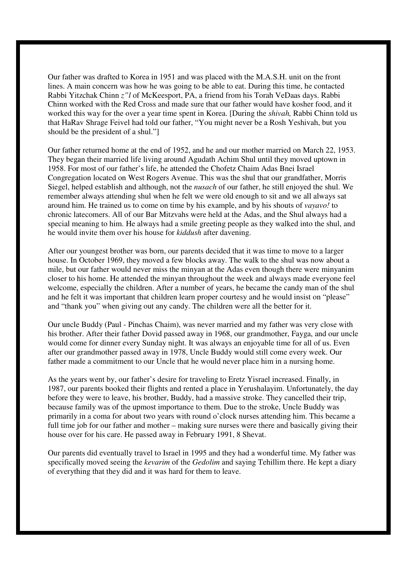Our father was drafted to Korea in 1951 and was placed with the M.A.S.H. unit on the front lines. A main concern was how he was going to be able to eat. During this time, he contacted Rabbi Yitzchak Chinn *z"l* of McKeesport, PA, a friend from his Torah VeDaas days. Rabbi Chinn worked with the Red Cross and made sure that our father would have kosher food, and it worked this way for the over a year time spent in Korea. [During the *shivah,* Rabbi Chinn told us that HaRav Shrage Feivel had told our father, "You might never be a Rosh Yeshivah, but you should be the president of a shul."]

Our father returned home at the end of 1952, and he and our mother married on March 22, 1953. They began their married life living around Agudath Achim Shul until they moved uptown in 1958. For most of our father's life, he attended the Chofetz Chaim Adas Bnei Israel Congregation located on West Rogers Avenue. This was the shul that our grandfather, Morris Siegel, helped establish and although, not the *nusach* of our father, he still enjoyed the shul. We remember always attending shul when he felt we were old enough to sit and we all always sat around him. He trained us to come on time by his example, and by his shouts of *vayavo!* to chronic latecomers. All of our Bar Mitzvahs were held at the Adas, and the Shul always had a special meaning to him. He always had a smile greeting people as they walked into the shul, and he would invite them over his house for *kiddush* after davening.

After our youngest brother was born, our parents decided that it was time to move to a larger house. In October 1969, they moved a few blocks away. The walk to the shul was now about a mile, but our father would never miss the minyan at the Adas even though there were minyanim closer to his home. He attended the minyan throughout the week and always made everyone feel welcome, especially the children. After a number of years, he became the candy man of the shul and he felt it was important that children learn proper courtesy and he would insist on "please" and "thank you" when giving out any candy. The children were all the better for it.

Our uncle Buddy (Paul - Pinchas Chaim), was never married and my father was very close with his brother. After their father Dovid passed away in 1968, our grandmother, Fayga, and our uncle would come for dinner every Sunday night. It was always an enjoyable time for all of us. Even after our grandmother passed away in 1978, Uncle Buddy would still come every week. Our father made a commitment to our Uncle that he would never place him in a nursing home.

As the years went by, our father's desire for traveling to Eretz Yisrael increased. Finally, in 1987, our parents booked their flights and rented a place in Yerushalayim. Unfortunately, the day before they were to leave, his brother, Buddy, had a massive stroke. They cancelled their trip, because family was of the upmost importance to them. Due to the stroke, Uncle Buddy was primarily in a coma for about two years with round o'clock nurses attending him. This became a full time job for our father and mother – making sure nurses were there and basically giving their house over for his care. He passed away in February 1991, 8 Shevat.

Our parents did eventually travel to Israel in 1995 and they had a wonderful time. My father was specifically moved seeing the *kevarim* of the *Gedolim* and saying Tehillim there. He kept a diary of everything that they did and it was hard for them to leave.